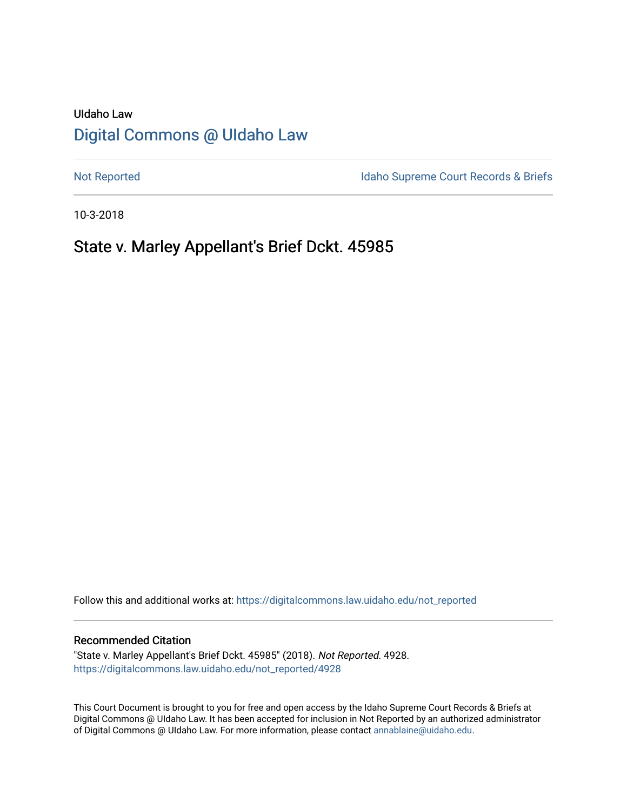# UIdaho Law [Digital Commons @ UIdaho Law](https://digitalcommons.law.uidaho.edu/)

[Not Reported](https://digitalcommons.law.uidaho.edu/not_reported) **Idaho Supreme Court Records & Briefs** 

10-3-2018

# State v. Marley Appellant's Brief Dckt. 45985

Follow this and additional works at: [https://digitalcommons.law.uidaho.edu/not\\_reported](https://digitalcommons.law.uidaho.edu/not_reported?utm_source=digitalcommons.law.uidaho.edu%2Fnot_reported%2F4928&utm_medium=PDF&utm_campaign=PDFCoverPages) 

#### Recommended Citation

"State v. Marley Appellant's Brief Dckt. 45985" (2018). Not Reported. 4928. [https://digitalcommons.law.uidaho.edu/not\\_reported/4928](https://digitalcommons.law.uidaho.edu/not_reported/4928?utm_source=digitalcommons.law.uidaho.edu%2Fnot_reported%2F4928&utm_medium=PDF&utm_campaign=PDFCoverPages)

This Court Document is brought to you for free and open access by the Idaho Supreme Court Records & Briefs at Digital Commons @ UIdaho Law. It has been accepted for inclusion in Not Reported by an authorized administrator of Digital Commons @ UIdaho Law. For more information, please contact [annablaine@uidaho.edu](mailto:annablaine@uidaho.edu).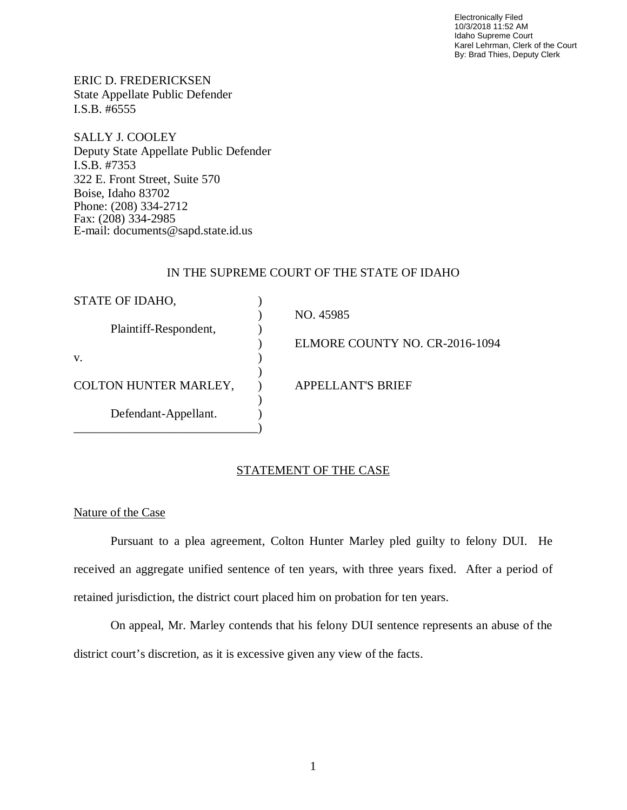Electronically Filed 10/3/2018 11:52 AM Idaho Supreme Court Karel Lehrman, Clerk of the Court By: Brad Thies, Deputy Clerk

ERIC D. FREDERICKSEN State Appellate Public Defender I.S.B. #6555

SALLY J. COOLEY Deputy State Appellate Public Defender I.S.B. #7353 322 E. Front Street, Suite 570 Boise, Idaho 83702 Phone: (208) 334-2712 Fax: (208) 334-2985 E-mail: documents@sapd.state.id.us

## IN THE SUPREME COURT OF THE STATE OF IDAHO

| STATE OF IDAHO,              |                                |
|------------------------------|--------------------------------|
|                              | NO. 45985                      |
| Plaintiff-Respondent,        |                                |
|                              | ELMORE COUNTY NO. CR-2016-1094 |
| V.                           |                                |
|                              |                                |
| <b>COLTON HUNTER MARLEY,</b> | <b>APPELLANT'S BRIEF</b>       |
|                              |                                |
| Defendant-Appellant.         |                                |
|                              |                                |

## STATEMENT OF THE CASE

## Nature of the Case

Pursuant to a plea agreement, Colton Hunter Marley pled guilty to felony DUI. He received an aggregate unified sentence of ten years, with three years fixed. After a period of retained jurisdiction, the district court placed him on probation for ten years.

On appeal, Mr. Marley contends that his felony DUI sentence represents an abuse of the district court's discretion, as it is excessive given any view of the facts.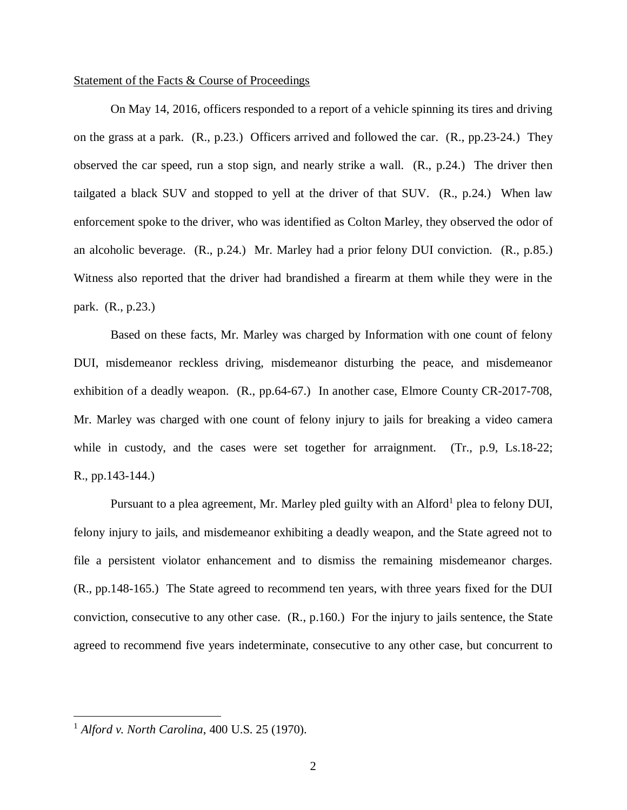#### Statement of the Facts & Course of Proceedings

On May 14, 2016, officers responded to a report of a vehicle spinning its tires and driving on the grass at a park. (R., p.23.) Officers arrived and followed the car. (R., pp.23-24.) They observed the car speed, run a stop sign, and nearly strike a wall. (R., p.24.) The driver then tailgated a black SUV and stopped to yell at the driver of that SUV. (R., p.24.) When law enforcement spoke to the driver, who was identified as Colton Marley, they observed the odor of an alcoholic beverage. (R., p.24.) Mr. Marley had a prior felony DUI conviction. (R., p.85.) Witness also reported that the driver had brandished a firearm at them while they were in the park. (R., p.23.)

Based on these facts, Mr. Marley was charged by Information with one count of felony DUI, misdemeanor reckless driving, misdemeanor disturbing the peace, and misdemeanor exhibition of a deadly weapon. (R., pp.64-67.) In another case, Elmore County CR-2017-708, Mr. Marley was charged with one count of felony injury to jails for breaking a video camera while in custody, and the cases were set together for arraignment. (Tr., p.9, Ls.18-22; R., pp.143-144.)

Pursuant to a plea agreement, Mr. Marley pled guilty with an Alford<sup>[1](#page-2-0)</sup> plea to felony DUI, felony injury to jails, and misdemeanor exhibiting a deadly weapon, and the State agreed not to file a persistent violator enhancement and to dismiss the remaining misdemeanor charges. (R., pp.148-165.) The State agreed to recommend ten years, with three years fixed for the DUI conviction, consecutive to any other case. (R., p.160.) For the injury to jails sentence, the State agreed to recommend five years indeterminate, consecutive to any other case, but concurrent to

<span id="page-2-0"></span><sup>1</sup> *Alford v. North Carolina*, 400 U.S. 25 (1970).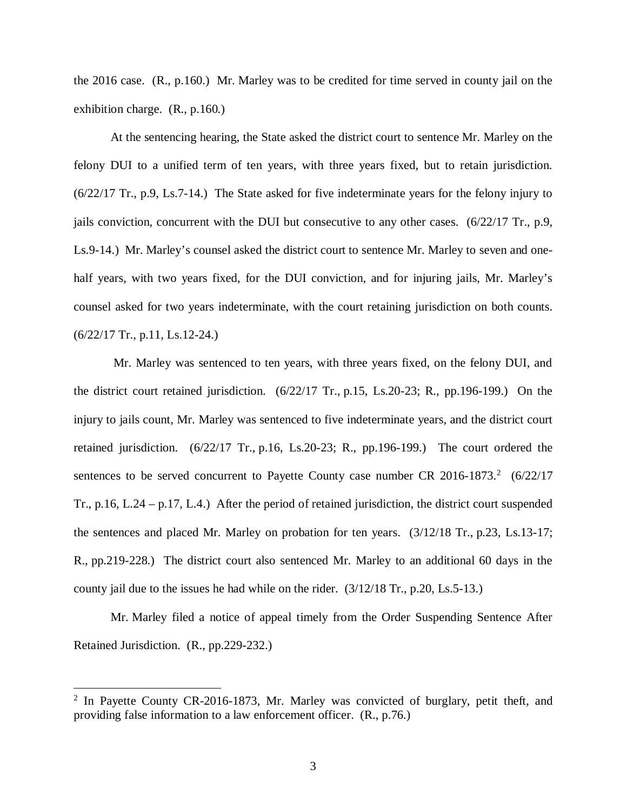the 2016 case. (R., p.160.) Mr. Marley was to be credited for time served in county jail on the exhibition charge. (R., p.160.)

At the sentencing hearing, the State asked the district court to sentence Mr. Marley on the felony DUI to a unified term of ten years, with three years fixed, but to retain jurisdiction. (6/22/17 Tr., p.9, Ls.7-14.) The State asked for five indeterminate years for the felony injury to jails conviction, concurrent with the DUI but consecutive to any other cases. (6/22/17 Tr., p.9, Ls.9-14.) Mr. Marley's counsel asked the district court to sentence Mr. Marley to seven and onehalf years, with two years fixed, for the DUI conviction, and for injuring jails, Mr. Marley's counsel asked for two years indeterminate, with the court retaining jurisdiction on both counts. (6/22/17 Tr., p.11, Ls.12-24.)

 Mr. Marley was sentenced to ten years, with three years fixed, on the felony DUI, and the district court retained jurisdiction. (6/22/17 Tr., p.15, Ls.20-23; R., pp.196-199.) On the injury to jails count, Mr. Marley was sentenced to five indeterminate years, and the district court retained jurisdiction. (6/22/17 Tr., p.16, Ls.20-23; R., pp.196-199.) The court ordered the sentences to be served concurrent to Payette County case number CR [2](#page-3-0)016-1873. $2(6/22/17)$ Tr., p.16, L.24 – p.17, L.4.) After the period of retained jurisdiction, the district court suspended the sentences and placed Mr. Marley on probation for ten years. (3/12/18 Tr., p.23, Ls.13-17; R., pp.219-228.) The district court also sentenced Mr. Marley to an additional 60 days in the county jail due to the issues he had while on the rider. (3/12/18 Tr., p.20, Ls.5-13.)

Mr. Marley filed a notice of appeal timely from the Order Suspending Sentence After Retained Jurisdiction. (R., pp.229-232.)

<span id="page-3-0"></span><sup>&</sup>lt;sup>2</sup> In Payette County CR-2016-1873, Mr. Marley was convicted of burglary, petit theft, and providing false information to a law enforcement officer. (R., p.76.)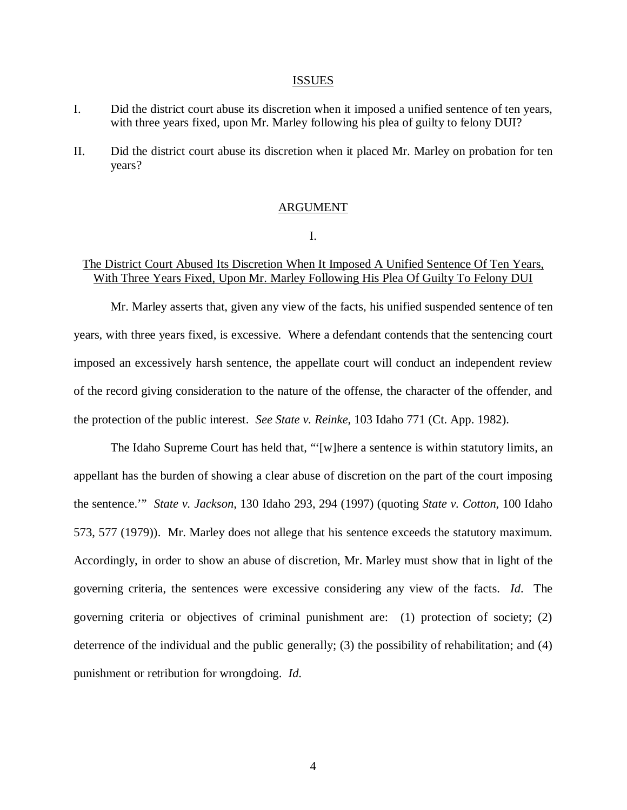#### ISSUES

- I. Did the district court abuse its discretion when it imposed a unified sentence of ten years, with three years fixed, upon Mr. Marley following his plea of guilty to felony DUI?
- II. Did the district court abuse its discretion when it placed Mr. Marley on probation for ten years?

### ARGUMENT

I.

## The District Court Abused Its Discretion When It Imposed A Unified Sentence Of Ten Years, With Three Years Fixed, Upon Mr. Marley Following His Plea Of Guilty To Felony DUI

Mr. Marley asserts that, given any view of the facts, his unified suspended sentence of ten years, with three years fixed, is excessive. Where a defendant contends that the sentencing court imposed an excessively harsh sentence, the appellate court will conduct an independent review of the record giving consideration to the nature of the offense, the character of the offender, and the protection of the public interest. *See State v. Reinke*, 103 Idaho 771 (Ct. App. 1982).

The Idaho Supreme Court has held that, "'[w]here a sentence is within statutory limits, an appellant has the burden of showing a clear abuse of discretion on the part of the court imposing the sentence.'" *State v. Jackson*, 130 Idaho 293, 294 (1997) (quoting *State v. Cotton*, 100 Idaho 573, 577 (1979)). Mr. Marley does not allege that his sentence exceeds the statutory maximum. Accordingly, in order to show an abuse of discretion, Mr. Marley must show that in light of the governing criteria, the sentences were excessive considering any view of the facts. *Id*. The governing criteria or objectives of criminal punishment are: (1) protection of society; (2) deterrence of the individual and the public generally; (3) the possibility of rehabilitation; and (4) punishment or retribution for wrongdoing. *Id*.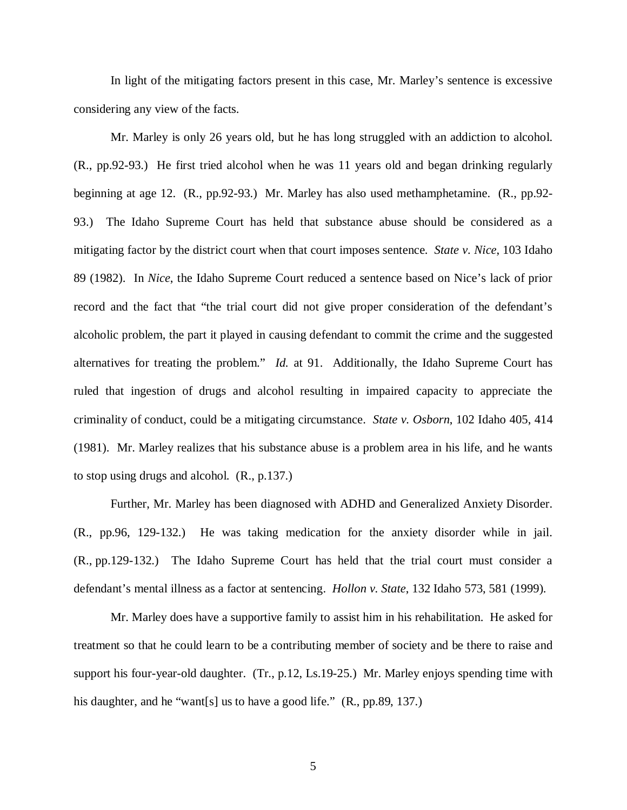In light of the mitigating factors present in this case, Mr. Marley's sentence is excessive considering any view of the facts.

Mr. Marley is only 26 years old, but he has long struggled with an addiction to alcohol. (R., pp.92-93.) He first tried alcohol when he was 11 years old and began drinking regularly beginning at age 12. (R., pp.92-93.) Mr. Marley has also used methamphetamine. (R., pp.92- 93.) The Idaho Supreme Court has held that substance abuse should be considered as a mitigating factor by the district court when that court imposes sentence. *State v. Nice*, 103 Idaho 89 (1982). In *Nice*, the Idaho Supreme Court reduced a sentence based on Nice's lack of prior record and the fact that "the trial court did not give proper consideration of the defendant's alcoholic problem, the part it played in causing defendant to commit the crime and the suggested alternatives for treating the problem." *Id.* at 91. Additionally, the Idaho Supreme Court has ruled that ingestion of drugs and alcohol resulting in impaired capacity to appreciate the criminality of conduct, could be a mitigating circumstance. *State v. Osborn*, 102 Idaho 405, 414 (1981). Mr. Marley realizes that his substance abuse is a problem area in his life, and he wants to stop using drugs and alcohol. (R., p.137.)

Further, Mr. Marley has been diagnosed with ADHD and Generalized Anxiety Disorder. (R., pp.96, 129-132.) He was taking medication for the anxiety disorder while in jail. (R., pp.129-132.) The Idaho Supreme Court has held that the trial court must consider a defendant's mental illness as a factor at sentencing. *Hollon v. State*, 132 Idaho 573, 581 (1999).

Mr. Marley does have a supportive family to assist him in his rehabilitation. He asked for treatment so that he could learn to be a contributing member of society and be there to raise and support his four-year-old daughter. (Tr., p.12, Ls.19-25.) Mr. Marley enjoys spending time with his daughter, and he "want[s] us to have a good life." (R., pp.89, 137.)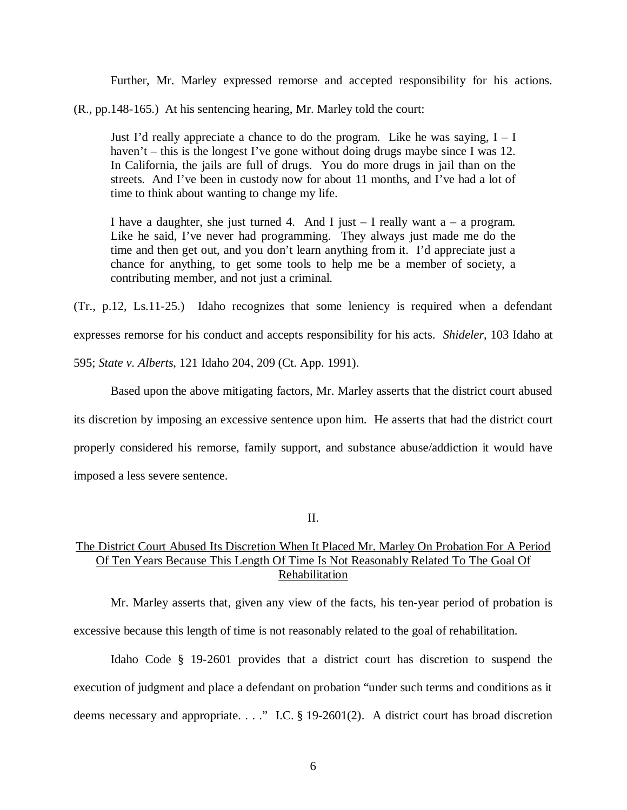Further, Mr. Marley expressed remorse and accepted responsibility for his actions.

(R., pp.148-165.) At his sentencing hearing, Mr. Marley told the court:

Just I'd really appreciate a chance to do the program. Like he was saying,  $I - I$ haven't – this is the longest I've gone without doing drugs maybe since I was 12. In California, the jails are full of drugs. You do more drugs in jail than on the streets. And I've been in custody now for about 11 months, and I've had a lot of time to think about wanting to change my life.

I have a daughter, she just turned 4. And I just  $-$  I really want a  $-$  a program. Like he said, I've never had programming. They always just made me do the time and then get out, and you don't learn anything from it. I'd appreciate just a chance for anything, to get some tools to help me be a member of society, a contributing member, and not just a criminal.

(Tr., p.12, Ls.11-25.) Idaho recognizes that some leniency is required when a defendant expresses remorse for his conduct and accepts responsibility for his acts. *Shideler*, 103 Idaho at 595; *State v. Alberts*, 121 Idaho 204, 209 (Ct. App. 1991).

Based upon the above mitigating factors, Mr. Marley asserts that the district court abused its discretion by imposing an excessive sentence upon him. He asserts that had the district court properly considered his remorse, family support, and substance abuse/addiction it would have imposed a less severe sentence.

II.

## The District Court Abused Its Discretion When It Placed Mr. Marley On Probation For A Period Of Ten Years Because This Length Of Time Is Not Reasonably Related To The Goal Of Rehabilitation

Mr. Marley asserts that, given any view of the facts, his ten-year period of probation is excessive because this length of time is not reasonably related to the goal of rehabilitation.

Idaho Code § 19-2601 provides that a district court has discretion to suspend the execution of judgment and place a defendant on probation "under such terms and conditions as it deems necessary and appropriate. . . ." I.C. § 19-2601(2). A district court has broad discretion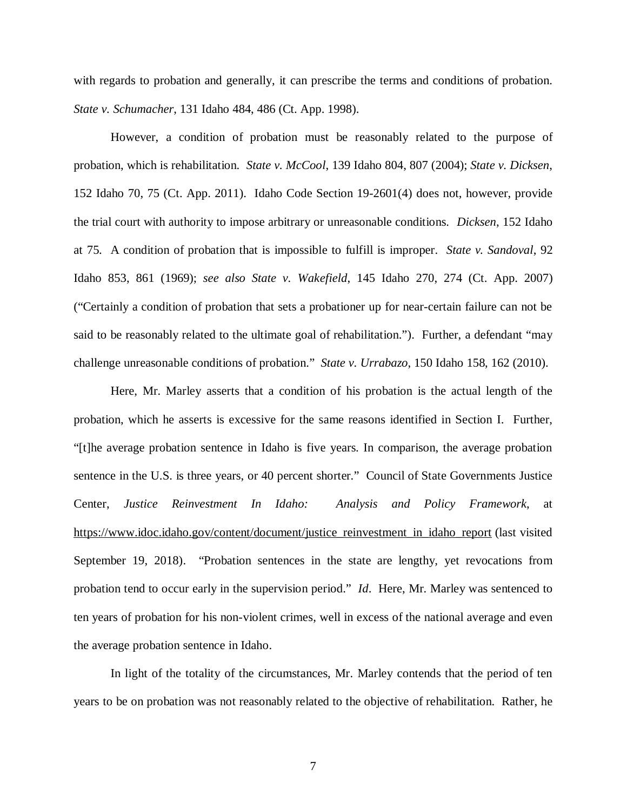with regards to probation and generally, it can prescribe the terms and conditions of probation. *State v. Schumacher*, 131 Idaho 484, 486 (Ct. App. 1998).

However, a condition of probation must be reasonably related to the purpose of probation, which is rehabilitation. *State v. McCool*, 139 Idaho 804, 807 (2004); *State v. Dicksen*, 152 Idaho 70, 75 (Ct. App. 2011). Idaho Code Section 19-2601(4) does not, however, provide the trial court with authority to impose arbitrary or unreasonable conditions. *Dicksen*, 152 Idaho at 75. A condition of probation that is impossible to fulfill is improper. *State v. Sandoval*, 92 Idaho 853, 861 (1969); *see also State v. Wakefield*, 145 Idaho 270, 274 (Ct. App. 2007) ("Certainly a condition of probation that sets a probationer up for near-certain failure can not be said to be reasonably related to the ultimate goal of rehabilitation."). Further, a defendant "may challenge unreasonable conditions of probation." *State v. Urrabazo*, 150 Idaho 158, 162 (2010).

Here, Mr. Marley asserts that a condition of his probation is the actual length of the probation, which he asserts is excessive for the same reasons identified in Section I. Further, "[t]he average probation sentence in Idaho is five years. In comparison, the average probation sentence in the U.S. is three years, or 40 percent shorter." Council of State Governments Justice Center, *Justice Reinvestment In Idaho: Analysis and Policy Framework*, at [https://www.idoc.idaho.gov/content/document/justice\\_reinvestment\\_in\\_idaho\\_report](https://www.idoc.idaho.gov/content/document/justice_reinvestment_in_idaho_report) (last visited September 19, 2018). "Probation sentences in the state are lengthy, yet revocations from probation tend to occur early in the supervision period." *Id*. Here, Mr. Marley was sentenced to ten years of probation for his non-violent crimes, well in excess of the national average and even the average probation sentence in Idaho.

In light of the totality of the circumstances, Mr. Marley contends that the period of ten years to be on probation was not reasonably related to the objective of rehabilitation. Rather, he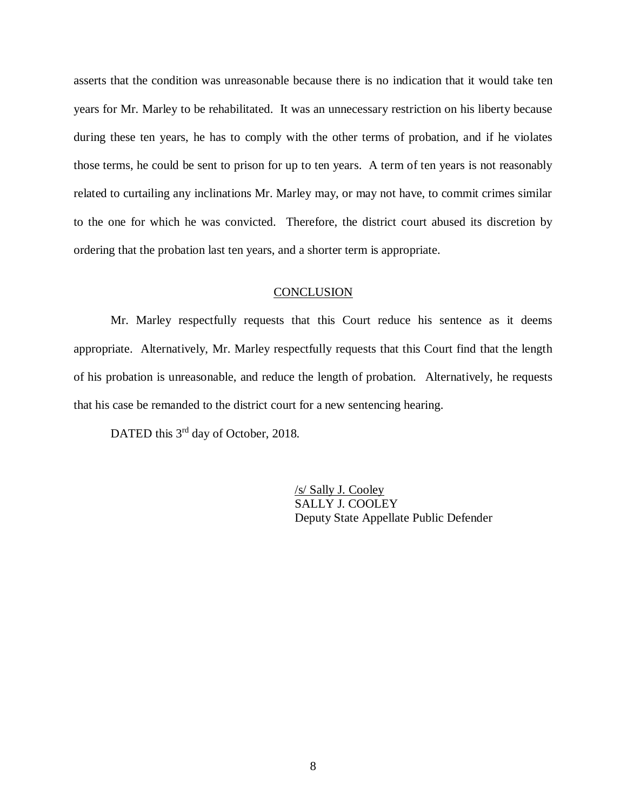asserts that the condition was unreasonable because there is no indication that it would take ten years for Mr. Marley to be rehabilitated. It was an unnecessary restriction on his liberty because during these ten years, he has to comply with the other terms of probation, and if he violates those terms, he could be sent to prison for up to ten years. A term of ten years is not reasonably related to curtailing any inclinations Mr. Marley may, or may not have, to commit crimes similar to the one for which he was convicted. Therefore, the district court abused its discretion by ordering that the probation last ten years, and a shorter term is appropriate.

### **CONCLUSION**

Mr. Marley respectfully requests that this Court reduce his sentence as it deems appropriate. Alternatively, Mr. Marley respectfully requests that this Court find that the length of his probation is unreasonable, and reduce the length of probation. Alternatively, he requests that his case be remanded to the district court for a new sentencing hearing.

DATED this 3<sup>rd</sup> day of October, 2018.

/s/ Sally J. Cooley SALLY J. COOLEY Deputy State Appellate Public Defender